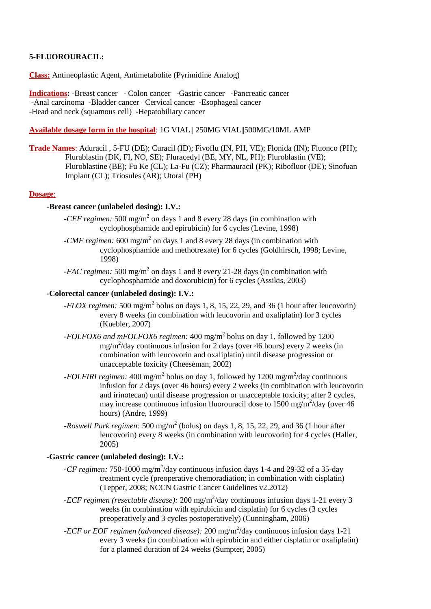## **5-FLUOROURACIL:**

**Class:** Antineoplastic Agent, Antimetabolite (Pyrimidine Analog)

**Indications:** -Breast cancer - Colon cancer -Gastric cancer -Pancreatic cancer -Anal carcinoma -Bladder cancer –Cervical cancer -Esophageal cancer -Head and neck (squamous cell) -Hepatobiliary cancer

**Available dosage form in the hospital**: 1G VIAL|| 250MG VIAL||500MG/10ML AMP

**Trade Names**: Aduracil , 5-FU (DE); Curacil (ID); Fivoflu (IN, PH, VE); Flonida (IN); Fluonco (PH); Flurablastin (DK, FI, NO, SE); Fluracedyl (BE, MY, NL, PH); Fluroblastin (VE); Fluroblastine (BE); Fu Ke (CL); La-Fu (CZ); Pharmauracil (PK); Ribofluor (DE); Sinofuan Implant (CL); Triosules (AR); Utoral (PH)

### **Dosage**:

### **-Breast cancer (unlabeled dosing): I.V.:**

- *-CEF regimen:* 500 mg/m<sup>2</sup> on days 1 and 8 every 28 days (in combination with cyclophosphamide and epirubicin) for 6 cycles (Levine, 1998)
- -*CMF regimen*: 600 mg/m<sup>2</sup> on days 1 and 8 every 28 days (in combination with cyclophosphamide and methotrexate) for 6 cycles (Goldhirsch, 1998; Levine, 1998)
- *-FAC regimen:* 500 mg/m<sup>2</sup> on days 1 and 8 every 21-28 days (in combination with cyclophosphamide and doxorubicin) for 6 cycles (Assikis, 2003)

## **-Colorectal cancer (unlabeled dosing): I.V.:**

- *-FLOX regimen:* 500 mg/m<sup>2</sup> bolus on days 1, 8, 15, 22, 29, and 36 (1 hour after leucovorin) every 8 weeks (in combination with leucovorin and oxaliplatin) for 3 cycles (Kuebler, 2007)
- *-FOLFOX6 and mFOLFOX6 regimen:* 400 mg/m<sup>2</sup> bolus on day 1, followed by 1200 mg/m<sup>2</sup> /day continuous infusion for 2 days (over 46 hours) every 2 weeks (in combination with leucovorin and oxaliplatin) until disease progression or unacceptable toxicity (Cheeseman, 2002)
- *-FOLFIRI regimen:* 400 mg/m<sup>2</sup> bolus on day 1, followed by 1200 mg/m<sup>2</sup>/day continuous infusion for 2 days (over 46 hours) every 2 weeks (in combination with leucovorin and irinotecan) until disease progression or unacceptable toxicity; after 2 cycles, may increase continuous infusion fluorouracil dose to 1500 mg/m<sup>2</sup>/day (over 46 hours) (Andre, 1999)
- *-Roswell Park regimen:* 500 mg/m<sup>2</sup> (bolus) on days 1, 8, 15, 22, 29, and 36 (1 hour after leucovorin) every 8 weeks (in combination with leucovorin) for 4 cycles (Haller, 2005)

# **-Gastric cancer (unlabeled dosing): I.V.:**

- -CF regimen: 750-1000 mg/m<sup>2</sup>/day continuous infusion days 1-4 and 29-32 of a 35-day treatment cycle (preoperative chemoradiation; in combination with cisplatin) (Tepper, 2008; NCCN Gastric Cancer Guidelines v2.2012)
- *-ECF regimen (resectable disease)*: 200 mg/m<sup>2</sup>/day continuous infusion days 1-21 every 3 weeks (in combination with epirubicin and cisplatin) for 6 cycles (3 cycles preoperatively and 3 cycles postoperatively) (Cunningham, 2006)
- *-ECF or EOF regimen (advanced disease)*: 200 mg/m<sup>2</sup>/day continuous infusion days 1-21 every 3 weeks (in combination with epirubicin and either cisplatin or oxaliplatin) for a planned duration of 24 weeks (Sumpter, 2005)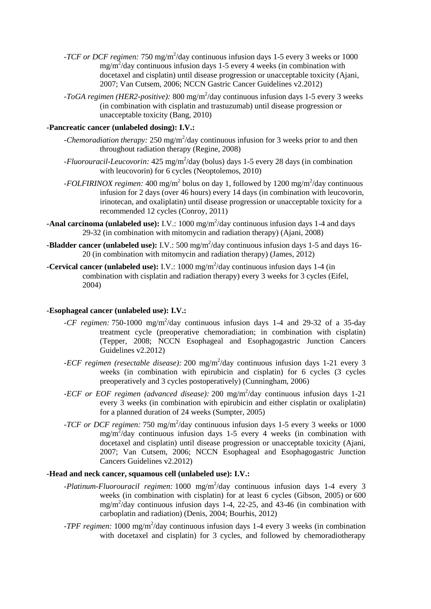- *-TCF or DCF regimen:* 750 mg/m<sup>2</sup>/day continuous infusion days 1-5 every 3 weeks or 1000  $mg/m^2$ /day continuous infusion days 1-5 every 4 weeks (in combination with docetaxel and cisplatin) until disease progression or unacceptable toxicity (Ajani, 2007; Van Cutsem, 2006; NCCN Gastric Cancer Guidelines v2.2012)
- *-ToGA regimen (HER2-positive)*: 800 mg/m<sup>2</sup>/day continuous infusion days 1-5 every 3 weeks (in combination with cisplatin and trastuzumab) until disease progression or unacceptable toxicity (Bang, 2010)

### **-Pancreatic cancer (unlabeled dosing): I.V.:**

- -*Chemoradiation therapy*: 250 mg/m<sup>2</sup>/day continuous infusion for 3 weeks prior to and then throughout radiation therapy (Regine, 2008)
- -*Fluorouracil-Leucovorin:* 425 mg/m<sup>2</sup>/day (bolus) days 1-5 every 28 days (in combination with leucovorin) for 6 cycles (Neoptolemos, 2010)
- *-FOLFIRINOX regimen:* 400 mg/m<sup>2</sup> bolus on day 1, followed by 1200 mg/m<sup>2</sup>/day continuous infusion for 2 days (over 46 hours) every 14 days (in combination with leucovorin, irinotecan, and oxaliplatin) until disease progression or unacceptable toxicity for a recommended 12 cycles (Conroy, 2011)
- **-Anal carcinoma (unlabeled use):** I.V.: 1000 mg/m<sup>2</sup>/day continuous infusion days 1-4 and days 29-32 (in combination with mitomycin and radiation therapy) (Ajani, 2008)
- **-Bladder cancer (unlabeled use):** I.V.: 500 mg/m<sup>2</sup>/day continuous infusion days 1-5 and days 16-20 (in combination with mitomycin and radiation therapy) (James, 2012)
- **-Cervical cancer (unlabeled use):** I.V.: 1000 mg/m<sup>2</sup>/day continuous infusion days 1-4 (in combination with cisplatin and radiation therapy) every 3 weeks for 3 cycles (Eifel, 2004)

#### **-Esophageal cancer (unlabeled use): I.V.:**

- *-CF regimen:* 750-1000 mg/m<sup>2</sup>/day continuous infusion days 1-4 and 29-32 of a 35-day treatment cycle (preoperative chemoradiation; in combination with cisplatin) (Tepper, 2008; NCCN Esophageal and Esophagogastric Junction Cancers Guidelines v2.2012)
- *-ECF regimen (resectable disease)*: 200 mg/m<sup>2</sup>/day continuous infusion days 1-21 every 3 weeks (in combination with epirubicin and cisplatin) for 6 cycles (3 cycles preoperatively and 3 cycles postoperatively) (Cunningham, 2006)
- *-ECF or EOF regimen (advanced disease)*: 200 mg/m<sup>2</sup>/day continuous infusion days 1-21 every 3 weeks (in combination with epirubicin and either cisplatin or oxaliplatin) for a planned duration of 24 weeks (Sumpter, 2005)
- *-TCF or DCF regimen:* 750 mg/m<sup>2</sup>/day continuous infusion days 1-5 every 3 weeks or 1000  $mg/m^2$ /day continuous infusion days 1-5 every 4 weeks (in combination with docetaxel and cisplatin) until disease progression or unacceptable toxicity (Ajani, 2007; Van Cutsem, 2006; NCCN Esophageal and Esophagogastric Junction Cancers Guidelines v2.2012)

## **-Head and neck cancer, squamous cell (unlabeled use): I.V.:**

- *-Platinum-Fluorouracil regimen:* 1000 mg/m<sup>2</sup>/day continuous infusion days 1-4 every 3 weeks (in combination with cisplatin) for at least 6 cycles (Gibson, 2005) or 600 mg/m<sup>2</sup> /day continuous infusion days 1-4, 22-25, and 43-46 (in combination with carboplatin and radiation) (Denis, 2004; Bourhis, 2012)
- *-TPF regimen:* 1000 mg/m<sup>2</sup>/day continuous infusion days 1-4 every 3 weeks (in combination with docetaxel and cisplatin) for 3 cycles, and followed by chemoradiotherapy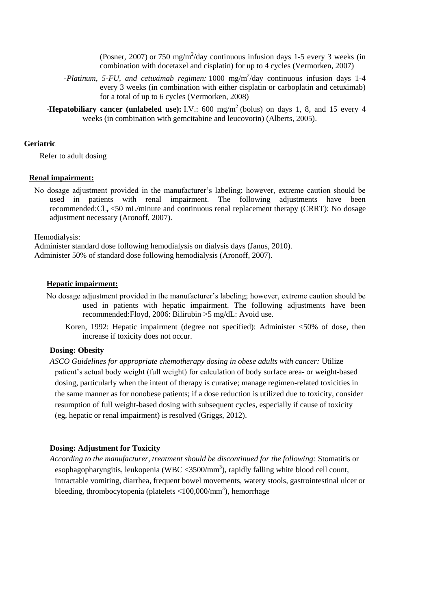(Posner, 2007) or 750 mg/m<sup>2</sup>/day continuous infusion days 1-5 every 3 weeks (in combination with docetaxel and cisplatin) for up to 4 cycles (Vermorken, 2007)

- *-Platinum, 5-FU, and cetuximab regimen:* 1000 mg/m<sup>2</sup>/day continuous infusion days 1-4 every 3 weeks (in combination with either cisplatin or carboplatin and cetuximab) for a total of up to 6 cycles (Vermorken, 2008)
- **-Hepatobiliary cancer (unlabeled use):** I.V.: 600 mg/m<sup>2</sup> (bolus) on days 1, 8, and 15 every 4 weeks (in combination with gemcitabine and leucovorin) (Alberts, 2005).

#### **Geriatric**

Refer to adult dosing

#### **Renal impairment:**

No dosage adjustment provided in the manufacturer's labeling; however, extreme caution should be used in patients with renal impairment. The following adjustments have been recommended: $Cl_{cr}$  <50 mL/minute and continuous renal replacement therapy (CRRT): No dosage adjustment necessary (Aronoff, 2007).

Hemodialysis:

Administer standard dose following hemodialysis on dialysis days (Janus, 2010). Administer 50% of standard dose following hemodialysis (Aronoff, 2007).

#### **Hepatic impairment:**

- No dosage adjustment provided in the manufacturer's labeling; however, extreme caution should be used in patients with hepatic impairment. The following adjustments have been recommended:Floyd, 2006: Bilirubin >5 mg/dL: Avoid use.
	- Koren, 1992: Hepatic impairment (degree not specified): Administer <50% of dose, then increase if toxicity does not occur.

#### **Dosing: Obesity**

*ASCO Guidelines for appropriate chemotherapy dosing in obese adults with cancer:* Utilize patient's actual body weight (full weight) for calculation of body surface area- or weight-based dosing, particularly when the intent of therapy is curative; manage regimen-related toxicities in the same manner as for nonobese patients; if a dose reduction is utilized due to toxicity, consider resumption of full weight-based dosing with subsequent cycles, especially if cause of toxicity (eg, hepatic or renal impairment) is resolved (Griggs, 2012).

# **Dosing: Adjustment for Toxicity**

*According to the manufacturer, treatment should be discontinued for the following:* Stomatitis or esophagopharyngitis, leukopenia (WBC < $3500/\text{mm}^3$ ), rapidly falling white blood cell count, intractable vomiting, diarrhea, frequent bowel movements, watery stools, gastrointestinal ulcer or bleeding, thrombocytopenia (platelets <100,000/mm<sup>3</sup>), hemorrhage